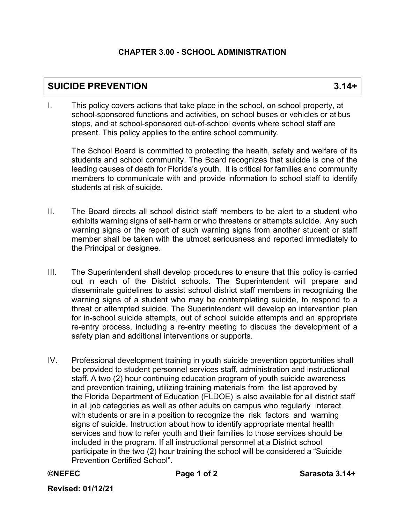## **CHAPTER 3.00 - SCHOOL ADMINISTRATION**

## **SUICIDE PREVENTION 3.14+**

I. This policy covers actions that take place in the school, on school property, at school-sponsored functions and activities, on school buses or vehicles or at bus stops, and at school-sponsored out-of-school events where school staff are present. This policy applies to the entire school community.

The School Board is committed to protecting the health, safety and welfare of its students and school community. The Board recognizes that suicide is one of the leading causes of death for Florida's youth. It is critical for families and community members to communicate with and provide information to school staff to identify students at risk of suicide.

- II. The Board directs all school district staff members to be alert to a student who exhibits warning signs of self-harm or who threatens or attempts suicide. Any such warning signs or the report of such warning signs from another student or staff member shall be taken with the utmost seriousness and reported immediately to the Principal or designee.
- III. The Superintendent shall develop procedures to ensure that this policy is carried out in each of the District schools. The Superintendent will prepare and disseminate guidelines to assist school district staff members in recognizing the warning signs of a student who may be contemplating suicide, to respond to a threat or attempted suicide. The Superintendent will develop an intervention plan for in-school suicide attempts, out of school suicide attempts and an appropriate re-entry process, including a re-entry meeting to discuss the development of a safety plan and additional interventions or supports.
- IV. Professional development training in youth suicide prevention opportunities shall be provided to student personnel services staff, administration and instructional staff. A two (2) hour continuing education program of youth suicide awareness and prevention training, utilizing training materials from the list approved by the Florida Department of Education (FLDOE) is also available for all district staff in all job categories as well as other adults on campus who regularly interact with students or are in a position to recognize the risk factors and warning signs of suicide. Instruction about how to identify appropriate mental health services and how to refer youth and their families to those services should be included in the program. If all instructional personnel at a District school participate in the two (2) hour training the school will be considered a "Suicide Prevention Certified School".

```
©NEFEC
```
**Revised: 01/12/21**